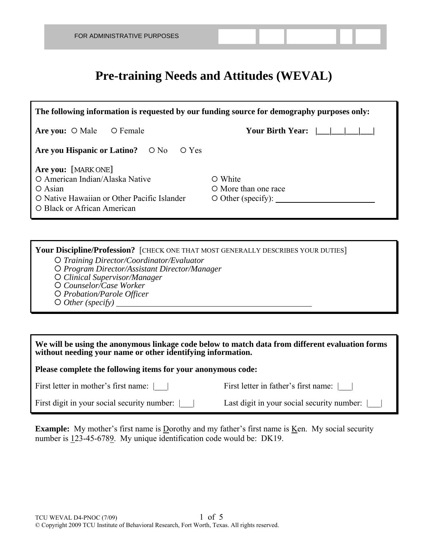## **Pre-training Needs and Attitudes (WEVAL)**

| The following information is requested by our funding source for demography purposes only:                                                                                                                           |                                                        |  |  |  |  |  |  |
|----------------------------------------------------------------------------------------------------------------------------------------------------------------------------------------------------------------------|--------------------------------------------------------|--|--|--|--|--|--|
| Are you: $\circ$ Male<br>O Female                                                                                                                                                                                    | Your Birth Year: $\vert \vert \vert \vert \vert \vert$ |  |  |  |  |  |  |
| Are you Hispanic or Latino? $\circ$ No<br>$\circ$ Yes                                                                                                                                                                |                                                        |  |  |  |  |  |  |
| Are you: [MARK ONE]<br>O American Indian/Alaska Native<br>O White<br>$\circ$ Asian<br>O More than one race<br>O Native Hawaiian or Other Pacific Islander<br>$\circ$ Other (specify):<br>O Black or African American |                                                        |  |  |  |  |  |  |

**Your Discipline/Profession?** [CHECK ONE THAT MOST GENERALLY DESCRIBES YOUR DUTIES] *Training Director/Coordinator/Evaluator* 

- 
- *Program Director/Assistant Director/Manager*
- *Clinical Supervisor/Manager*
- *Counselor/Case Worker*
- *Probation/Parole Officer*
- *Other (specify)*

**We will be using the anonymous linkage code below to match data from different evaluation forms without needing your name or other identifying information.** 

**Please complete the following items for your anonymous code:** 

First letter in mother's first name: |\_\_\_| First letter in father's first name: |\_\_\_|

First digit in your social security number: | | Last digit in your social security number: |

**Example:** My mother's first name is Dorothy and my father's first name is <u>Ken</u>. My social security number is 123-45-6789. My unique identification code would be: DK19.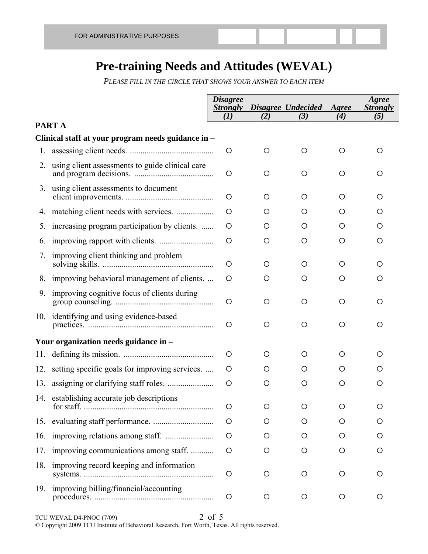## **Pre-training Needs and Attitudes (WEVAL)**

*PLEASE FILL IN THE CIRCLE THAT SHOWS YOUR ANSWER TO EACH ITEM*

|     |                                                    | <b>Disagree</b><br><b>Strongly</b> |     | Disagree Undecided | Agree | Agree<br><b>Strongly</b> |
|-----|----------------------------------------------------|------------------------------------|-----|--------------------|-------|--------------------------|
|     | PART A                                             | (I)                                | (2) | (3)                | (4)   | (5)                      |
|     | Clinical staff at your program needs guidance in - |                                    |     |                    |       |                          |
| 1.  |                                                    | $\circ$                            | O   | O                  | O     | O                        |
| 2.  | using client assessments to guide clinical care    | O                                  | O   | O                  | O     | O                        |
| 3.  | using client assessments to document               | O                                  | O   | O                  | O     | O                        |
|     |                                                    | O                                  | O   | O                  | O     | O                        |
| 5.  | increasing program participation by clients.       | O                                  | O   | O                  | O     | O                        |
| 6.  |                                                    | $\circ$                            | O   | O                  | O     | O                        |
| 7.  | improving client thinking and problem              | O                                  | O   | O                  | O     | O                        |
|     | 8. improving behavioral management of clients      | O                                  | O   | O                  | O     | O                        |
| 9.  | improving cognitive focus of clients during        | O                                  | O   | O                  | O     | O                        |
|     | 10. identifying and using evidence-based           | O                                  | O   | O                  | O     | O                        |
|     | Your organization needs guidance in -              |                                    |     |                    |       |                          |
|     |                                                    | O                                  | O   | O                  | O     | O                        |
|     | 12. setting specific goals for improving services. | $\circ$                            | O   | O                  | O     | Ő                        |
|     |                                                    | O                                  | O   | O                  | O     | O                        |
|     | 14. establishing accurate job descriptions         | $\circ$                            |     |                    |       |                          |
| 15. |                                                    | O                                  | O   | O                  | Ő     |                          |
| 16. |                                                    | O                                  | O   | Ő                  | Ő     | Ő                        |
| 17. | improving communications among staff.              | O                                  | O   | O                  | O     | O                        |
| 18. | improving record keeping and information           | O                                  | O   | O                  | O     | O                        |
| 19. | improving billing/financial/accounting             | O                                  | O   | O                  | O     | O                        |

TCU WEVAL D4-PNOC (7/09) 2 of 5 © Copyright 2009 TCU Institute of Behavioral Research, Fort Worth, Texas. All rights reserved.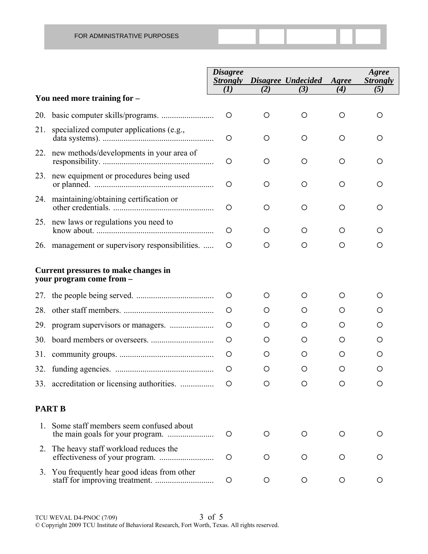|                                                                  |                                                 | <b>Disagree</b><br><b>Strongly</b> |                  | Disagree Undecided | Agree | Agree<br><b>Strongly</b> |  |
|------------------------------------------------------------------|-------------------------------------------------|------------------------------------|------------------|--------------------|-------|--------------------------|--|
|                                                                  | You need more training for -                    | (I)                                | (2)              | (3)                | (4)   | (5)                      |  |
| 20.                                                              |                                                 | $\circ$                            | O                | $\circ$            | O     | O                        |  |
| 21.                                                              | specialized computer applications (e.g.,        | O                                  | O                | O                  | O     | O                        |  |
|                                                                  | 22. new methods/developments in your area of    | O                                  | O                | $\circ$            | O     | О                        |  |
| 23.                                                              | new equipment or procedures being used          | $\circ$                            | O                | $\circ$            | O     | O                        |  |
|                                                                  | 24. maintaining/obtaining certification or      | O                                  | O                | $\circ$            | O     | O                        |  |
|                                                                  | 25. new laws or regulations you need to         | $\circ$                            | $\left( \right)$ | Ő                  | O     | O                        |  |
|                                                                  | 26. management or supervisory responsibilities. | O                                  | O                | O                  | O     | O                        |  |
| Current pressures to make changes in<br>your program come from - |                                                 |                                    |                  |                    |       |                          |  |
| 27.                                                              |                                                 | $\circ$                            | Ő                | O                  | O     | Ő                        |  |
| 28.                                                              |                                                 | O                                  | O                | $\lambda$          | O     | Ő                        |  |
| 29.                                                              |                                                 | O                                  | O                | O                  | O     | O                        |  |
| 30.                                                              |                                                 | $\circ$                            | O                | $\lambda$          | O     | O                        |  |
| 31.                                                              |                                                 | O                                  | O                | Ő                  | O     | O                        |  |
|                                                                  |                                                 | O                                  | O                | O                  | Ο     | O                        |  |
|                                                                  | 33. accreditation or licensing authorities.     | Ő                                  | O                | O                  | O     | Ő                        |  |
| <b>PART B</b>                                                    |                                                 |                                    |                  |                    |       |                          |  |
| 1.                                                               | Some staff members seem confused about          | $\circ$                            | O                | $\circ$            | O     | O                        |  |
|                                                                  | 2. The heavy staff workload reduces the         | O                                  | O                | O                  | O     | Ő                        |  |
|                                                                  | 3. You frequently hear good ideas from other    | O                                  | O                | $\circ$            | O     | O                        |  |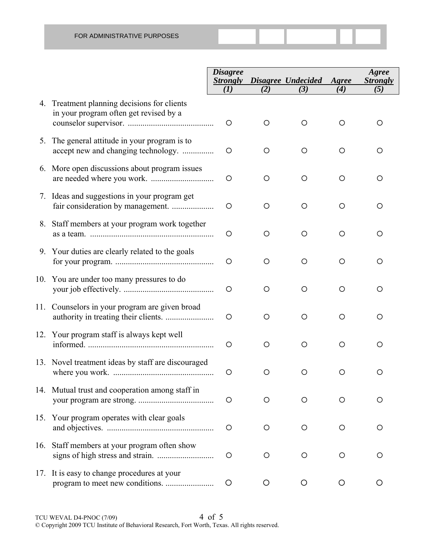|                                                                                       | <b>Disagree</b><br><b>Strongly</b><br>(I) | (2)     | Disagree Undecided Agree<br>(3) | (4)     | Agree<br><b>Strongly</b><br>(5) |
|---------------------------------------------------------------------------------------|-------------------------------------------|---------|---------------------------------|---------|---------------------------------|
| 4. Treatment planning decisions for clients<br>in your program often get revised by a | $\circ$                                   | O       | O                               | O       | O                               |
| 5. The general attitude in your program is to<br>accept new and changing technology.  | O                                         | $\circ$ | $\circ$                         | O       |                                 |
| 6. More open discussions about program issues                                         | O                                         | $\circ$ | $\circ$                         | O       | O                               |
| 7. Ideas and suggestions in your program get                                          | O                                         | O       | O                               | O       | O                               |
| 8. Staff members at your program work together                                        | O                                         | $\circ$ | $\circ$                         | $\circ$ |                                 |
| 9. Your duties are clearly related to the goals                                       | O                                         | O       | O                               | O       | O                               |
| 10. You are under too many pressures to do                                            | O                                         | O       | O                               | O       | ◯                               |
| 11. Counselors in your program are given broad                                        | O                                         | $\circ$ | O                               | O       |                                 |
| 12. Your program staff is always kept well                                            | O                                         | $\circ$ | $\circ$                         | $\circ$ | O                               |
| 13. Novel treatment ideas by staff are discouraged                                    | O                                         | O       | O                               | O       |                                 |
| 14. Mutual trust and cooperation among staff in                                       | O                                         | $\circ$ | O                               | O       | O                               |
| 15. Your program operates with clear goals                                            | O                                         | O       | O                               | $\circ$ | O                               |
| 16. Staff members at your program often show                                          | O                                         | O       | O                               | O       | O                               |
| 17. It is easy to change procedures at your                                           | O                                         | O       | O                               | $\circ$ |                                 |